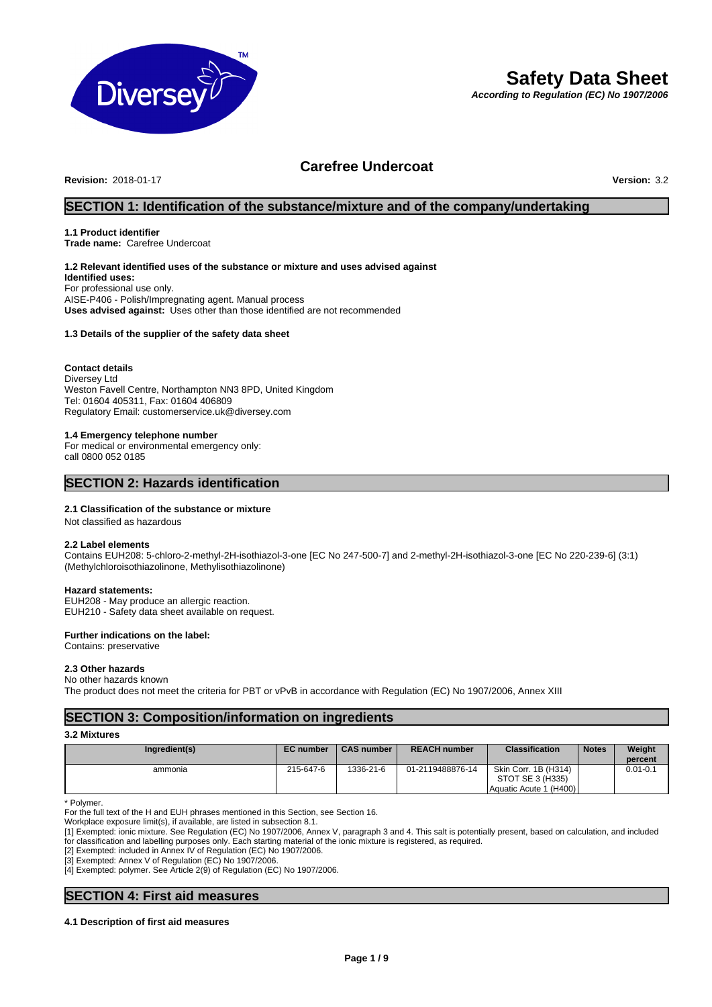

# **Safety Data Sheet**

*According to Regulation (EC) No 1907/2006*

# **Carefree Undercoat**

**Revision:** 2018-01-17 **Version:** 3.2

# **SECTION 1: Identification of the substance/mixture and of the company/undertaking**

#### **1.1 Product identifier**

**Trade name:** Carefree Undercoat

### **1.2 Relevant identified uses of the substance or mixture and uses advised against**

**Identified uses:** For professional use only. AISE-P406 - Polish/Impregnating agent. Manual process **Uses advised against:** Uses other than those identified are not recommended

#### **1.3 Details of the supplier of the safety data sheet**

#### **Contact details**

Diversey Ltd Weston Favell Centre, Northampton NN3 8PD, United Kingdom Tel: 01604 405311, Fax: 01604 406809 Regulatory Email: customerservice.uk@diversey.com

#### **1.4 Emergency telephone number**

For medical or environmental emergency only: call 0800 052 0185

# **SECTION 2: Hazards identification**

#### **2.1 Classification of the substance or mixture**

Not classified as hazardous

#### **2.2 Label elements**

Contains EUH208: 5-chloro-2-methyl-2H-isothiazol-3-one [EC No 247-500-7] and 2-methyl-2H-isothiazol-3-one [EC No 220-239-6] (3:1) (Methylchloroisothiazolinone, Methylisothiazolinone)

### **Hazard statements:**

EUH208 - May produce an allergic reaction. EUH210 - Safety data sheet available on request.

#### **Further indications on the label:**

Contains: preservative

#### **2.3 Other hazards**

#### No other hazards known

The product does not meet the criteria for PBT or vPvB in accordance with Regulation (EC) No 1907/2006, Annex XIII

# **SECTION 3: Composition/information on ingredients**

#### **3.2 Mixtures**

| Ingredient(s) | <b>EC</b> number | <b>CAS number</b> | <b>REACH number</b> | <b>Classification</b>  | <b>Notes</b> | Weight       |
|---------------|------------------|-------------------|---------------------|------------------------|--------------|--------------|
|               |                  |                   |                     |                        |              | percent      |
| ammonia       | 215-647-6        | 1336-21-6         | 01-2119488876-14    | Skin Corr. 1B (H314)   |              | $0.01 - 0.1$ |
|               |                  |                   |                     | STOT SE 3 (H335)       |              |              |
|               |                  |                   |                     | Aquatic Acute 1 (H400) |              |              |

\* Polymer.

For the full text of the H and EUH phrases mentioned in this Section, see Section 16.

Workplace exposure limit(s), if available, are listed in subsection 8.1.

[1] Exempted: ionic mixture. See Regulation (EC) No 1907/2006, Annex V, paragraph 3 and 4. This salt is potentially present, based on calculation, and included for classification and labelling purposes only. Each starting material of the ionic mixture is registered, as required.

[2] Exempted: included in Annex IV of Regulation (EC) No 1907/2006.

[3] Exempted: Annex V of Regulation (EC) No 1907/2006.

[4] Exempted: polymer. See Article 2(9) of Regulation (EC) No 1907/2006.

# **SECTION 4: First aid measures**

#### **4.1 Description of first aid measures**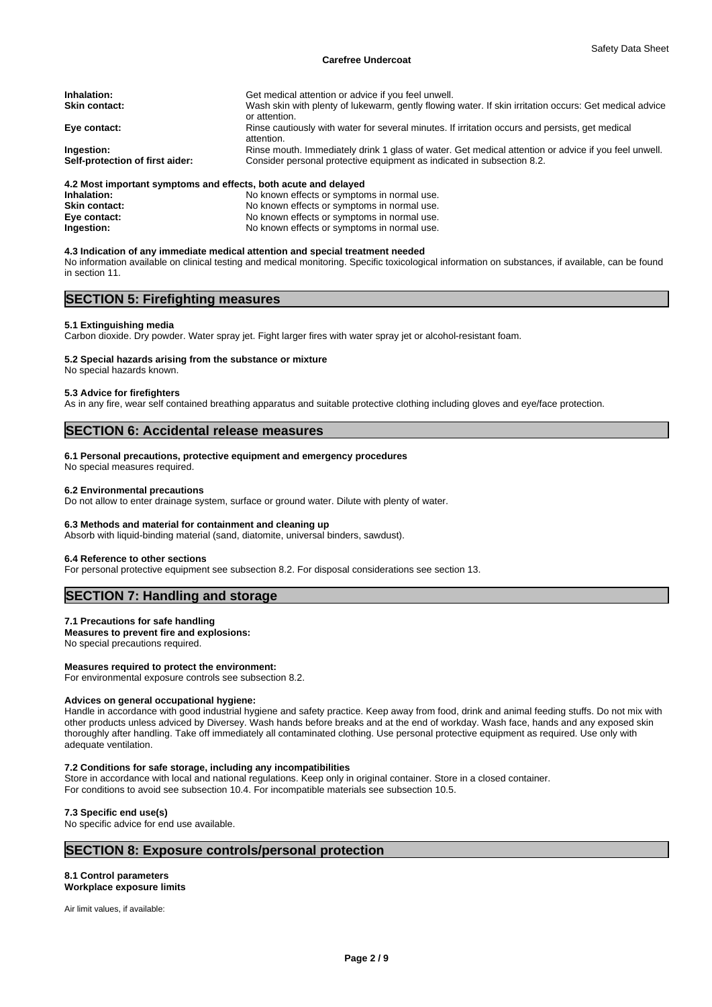#### **Carefree Undercoat**

| Self-protection of first aider:<br>4.2 Most important symptoms and effects, both acute and delayed | Consider personal protective equipment as indicated in subsection 8.2.                                                                                        |
|----------------------------------------------------------------------------------------------------|---------------------------------------------------------------------------------------------------------------------------------------------------------------|
| Ingestion:                                                                                         | attention.<br>Rinse mouth. Immediately drink 1 glass of water. Get medical attention or advice if you feel unwell.                                            |
| Eye contact:                                                                                       | or attention.<br>Rinse cautiously with water for several minutes. If irritation occurs and persists, get medical                                              |
| Inhalation:<br><b>Skin contact:</b>                                                                | Get medical attention or advice if you feel unwell.<br>Wash skin with plenty of lukewarm, gently flowing water. If skin irritation occurs: Get medical advice |

#### **4.2 Most important symptoms and effects, both acute and delayed**

| Inhalation:          | No known effects or symptoms in normal use. |
|----------------------|---------------------------------------------|
| <b>Skin contact:</b> | No known effects or symptoms in normal use. |
| Eye contact:         | No known effects or symptoms in normal use. |
| Ingestion:           | No known effects or symptoms in normal use. |
|                      |                                             |

#### **4.3 Indication of any immediate medical attention and special treatment needed**

No information available on clinical testing and medical monitoring. Specific toxicological information on substances, if available, can be found in section 11.

### **SECTION 5: Firefighting measures**

#### **5.1 Extinguishing media**

Carbon dioxide. Dry powder. Water spray jet. Fight larger fires with water spray jet or alcohol-resistant foam.

#### **5.2 Special hazards arising from the substance or mixture**

No special hazards known.

#### **5.3 Advice for firefighters**

As in any fire, wear self contained breathing apparatus and suitable protective clothing including gloves and eye/face protection.

### **SECTION 6: Accidental release measures**

#### **6.1 Personal precautions, protective equipment and emergency procedures**

No special measures required.

#### **6.2 Environmental precautions**

Do not allow to enter drainage system, surface or ground water. Dilute with plenty of water.

#### **6.3 Methods and material for containment and cleaning up**

Absorb with liquid-binding material (sand, diatomite, universal binders, sawdust).

#### **6.4 Reference to other sections**

For personal protective equipment see subsection 8.2. For disposal considerations see section 13.

# **SECTION 7: Handling and storage**

#### **7.1 Precautions for safe handling**

#### **Measures to prevent fire and explosions:**

No special precautions required.

#### **Measures required to protect the environment:**

For environmental exposure controls see subsection 8.2.

#### **Advices on general occupational hygiene:**

Handle in accordance with good industrial hygiene and safety practice. Keep away from food, drink and animal feeding stuffs. Do not mix with other products unless adviced by Diversey. Wash hands before breaks and at the end of workday. Wash face, hands and any exposed skin thoroughly after handling. Take off immediately all contaminated clothing. Use personal protective equipment as required. Use only with adequate ventilation.

#### **7.2 Conditions for safe storage, including any incompatibilities**

Store in accordance with local and national regulations. Keep only in original container. Store in a closed container. For conditions to avoid see subsection 10.4. For incompatible materials see subsection 10.5.

#### **7.3 Specific end use(s)**

No specific advice for end use available.

### **SECTION 8: Exposure controls/personal protection**

#### **8.1 Control parameters Workplace exposure limits**

Air limit values, if available: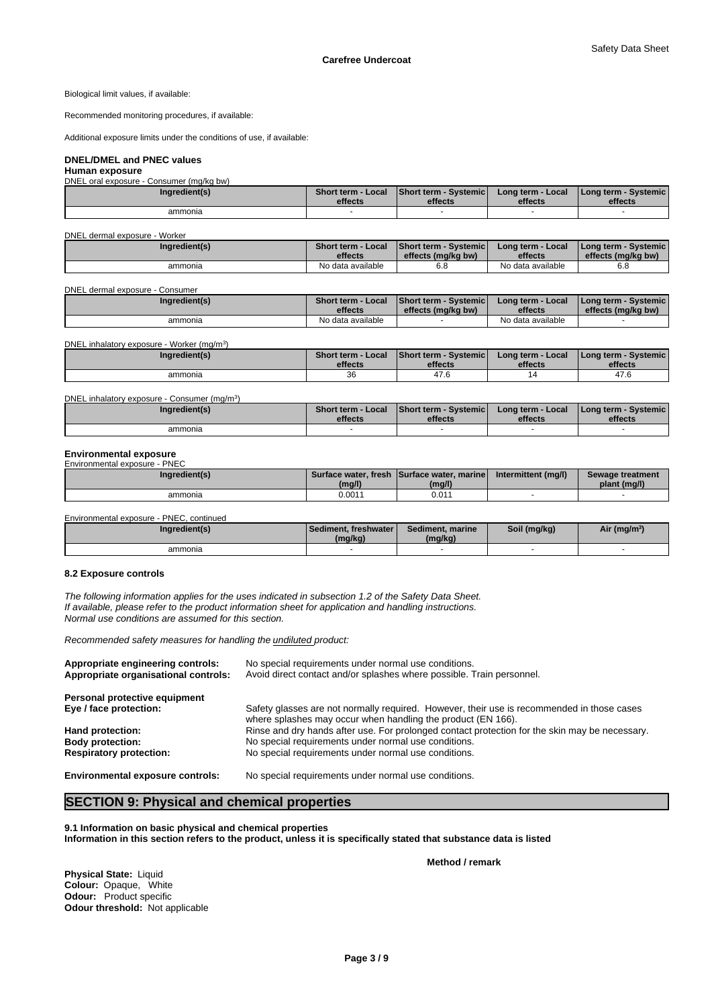#### Biological limit values, if available:

Recommended monitoring procedures, if available:

Additional exposure limits under the conditions of use, if available:

#### **DNEL/DMEL and PNEC values**

#### **Human exposure**

DNEL oral exposure - Consumer (mg/kg bw)

| Ingredient(s) | <b>Short term - Local</b> | <b>Short term - Systemicl</b> | Long term - Local | Long term - Systemic |
|---------------|---------------------------|-------------------------------|-------------------|----------------------|
|               | effects                   | effects                       | effects           | effects              |
| ammonia       |                           |                               |                   |                      |

#### DNEL dermal exposure - Worker

| Ingredient(s) | Short term -<br>Local<br>effects | <b>Short term - Systemicl</b><br>effects (mg/kg bw) | <b>Long term - Local</b><br>effects | I Long term - Systemic I<br>effects (mg/kg bw) |
|---------------|----------------------------------|-----------------------------------------------------|-------------------------------------|------------------------------------------------|
| ammonia       | No data available                | ິ<br>o.o                                            | No data available                   | 6.C                                            |

DNEL dermal exposure - Consumer

| Ingredient(s) | <b>Short term - Local</b><br>effects | <b>Short term - Systemicl</b> | Long term - Local<br>effects | · Svstemic<br>∣ Long term - ∶<br>effects (mg/kg bw) |  |
|---------------|--------------------------------------|-------------------------------|------------------------------|-----------------------------------------------------|--|
|               |                                      | effects (ma/ka bw)            |                              |                                                     |  |
| ammonia       | No data available                    |                               | No data available            |                                                     |  |

| DNEL inhalatory exposure - Worker (mg/m <sup>3</sup> ) |                           |                              |                   |                                 |
|--------------------------------------------------------|---------------------------|------------------------------|-------------------|---------------------------------|
| Ingredient(s)                                          | <b>Short term - Local</b> | <b>Short term - Systemic</b> | Long term - Local | <b>I Long term - Systemic I</b> |
|                                                        | effects                   | effects                      | effects           | effects                         |
| ammonia                                                | 36                        | 47.6                         |                   | 47.6                            |

| DNEL inhalatory exposure - Consumer (mg/m <sup>3</sup> ) |                                      |                                          |                              |                                            |
|----------------------------------------------------------|--------------------------------------|------------------------------------------|------------------------------|--------------------------------------------|
| Ingredient(s)                                            | <b>Short term - Local</b><br>effects | <b>Short term - Systemicl</b><br>effects | Long term - Local<br>effects | <b>I Long term - Systemic I</b><br>effects |
| ammonia                                                  |                                      |                                          |                              |                                            |

#### **Environmental exposure** Environmental exposure - PNEC

| Ingredient(s) | (mg/l) | Surface water, fresh Surface water, marine<br>(mg/l) | Intermittent (mg/l) | Sewage treatment<br>plant (mg/l) |
|---------------|--------|------------------------------------------------------|---------------------|----------------------------------|
| ammonia       | 0.0011 | 0.011                                                |                     |                                  |

Environmental exposure - PNEC, continued

| Ingredient(s) | Sediment, freshwater<br>(ma/kc | Sediment, marine<br>(mg/kg) | Soil (mg/kg) | Air (mq/m <sup>3</sup> ) |
|---------------|--------------------------------|-----------------------------|--------------|--------------------------|
| ammonia       |                                |                             |              |                          |

#### **8.2 Exposure controls**

*The following information applies for the uses indicated in subsection 1.2 of the Safety Data Sheet. If available, please refer to the product information sheet for application and handling instructions. Normal use conditions are assumed for this section.*

*Recommended safety measures for handling the undiluted product:*

| Appropriate engineering controls:<br>Appropriate organisational controls: | No special requirements under normal use conditions.<br>Avoid direct contact and/or splashes where possible. Train personnel.                              |
|---------------------------------------------------------------------------|------------------------------------------------------------------------------------------------------------------------------------------------------------|
| Personal protective equipment                                             |                                                                                                                                                            |
| Eye / face protection:                                                    | Safety glasses are not normally required. However, their use is recommended in those cases<br>where splashes may occur when handling the product (EN 166). |
| Hand protection:                                                          | Rinse and dry hands after use. For prolonged contact protection for the skin may be necessary.                                                             |
| <b>Body protection:</b>                                                   | No special requirements under normal use conditions.                                                                                                       |
| <b>Respiratory protection:</b>                                            | No special requirements under normal use conditions.                                                                                                       |

**Environmental exposure controls:** No special requirements under normal use conditions.

# **SECTION 9: Physical and chemical properties**

**9.1 Information on basic physical and chemical properties Information in this section refers to the product, unless it is specifically stated that substance data is listed**

**Method / remark**

**Physical State:** Liquid **Colour:** Opaque, White **Odour:** Product specific **Odour threshold:** Not applicable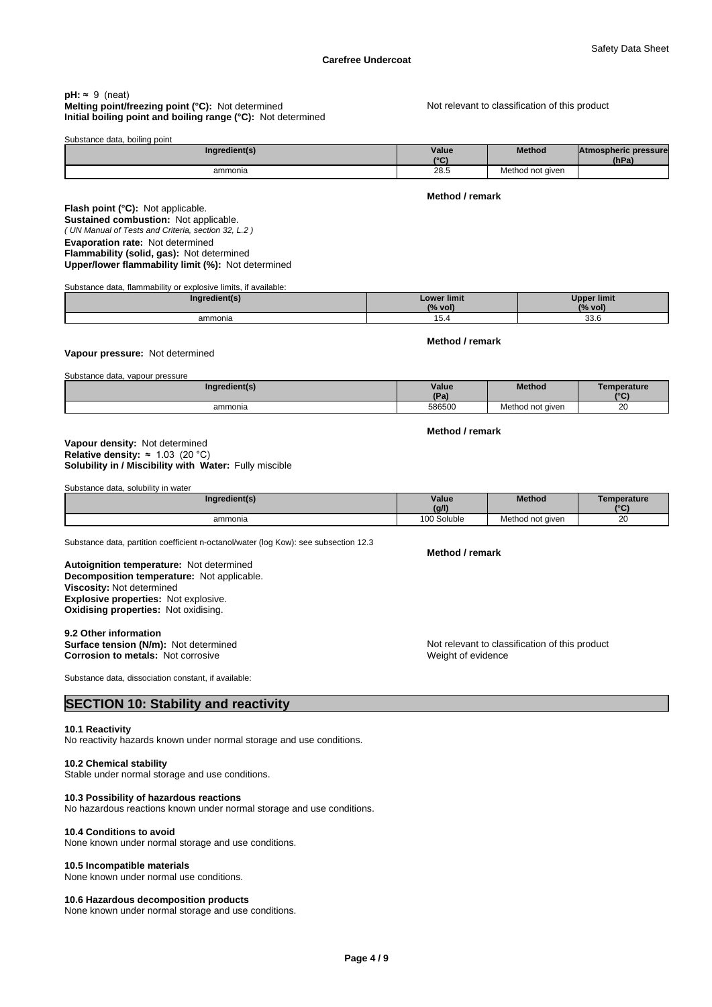#### **pH:** ≈ 9 (neat) **Melting point/freezing point (°C):** Not determined Not relevant to classification of this product **Initial boiling point and boiling range (°C):** Not determined

**Method / remark**

**Method / remark**

**Method / remark**

Substance data, boiling point

| Ingredient(s) | Value | Method           | <b>Atmospheric pressure</b> |  |
|---------------|-------|------------------|-----------------------------|--|
|               | 1001  |                  | (hPa)                       |  |
| ammonia       | 28.5  | Method not aiven |                             |  |

*( UN Manual of Tests and Criteria, section 32, L.2 )* **Flash point (°C):** Not applicable. **Sustained combustion:** Not applicable. **Evaporation rate:** Not determined **Flammability (solid, gas):** Not determined **Upper/lower flammability limit (%):** Not determined

Substance data, flammability or explosive limits, if available:

| dient   | ∠ower limit<br>$\frac{10}{6}$ vol.<br>. Yo | <b>Upper limit</b><br>10/10<br>VUI<br>$\sqrt{0}$ |
|---------|--------------------------------------------|--------------------------------------------------|
| ammonia | ד. שו                                      | $\sim$<br>ບບ.ບ                                   |

### **Vapour pressure:** Not determined

Substance data, vapour pressure

| Ingredient(s) | Value<br><b>TEL</b> | Method           | <b>Temperature</b><br>$10^{\circ}$ |
|---------------|---------------------|------------------|------------------------------------|
| ammonia       | 586500              | Method not aiven | $\sim$<br>∠∪                       |

#### **Solubility in / Miscibility with Water:** Fully miscible **Vapour density:** Not determined **Relative density:** ≈1.03(20°C)

Substance data, solubility in water

| Ingredient(s) | Value<br>(a/l) | Method           | Temperature<br>10P |
|---------------|----------------|------------------|--------------------|
| ammonia       | 100 Soluble    | Method not given | 20                 |

Substance data, partition coefficient n-octanol/water (log Kow): see subsection 12.3

**Decomposition temperature:** Not applicable. **Autoignition temperature:** Not determined **Viscosity:** Not determined **Explosive properties:** Not explosive. **Oxidising properties:** Not oxidising.

9.2 Other information<br>Surface tension (N/m): Not determined **Corrosion to metals:** Not corrosive

Substance data, dissociation constant, if available:

# **SECTION 10: Stability and reactivity**

#### **10.1 Reactivity**

No reactivity hazards known under normal storage and use conditions.

#### **10.2 Chemical stability**

Stable under normal storage and use conditions.

#### **10.3 Possibility of hazardous reactions**

No hazardous reactions known under normal storage and use conditions.

#### **10.4 Conditions to avoid**

None known under normal storage and use conditions.

#### **10.5 Incompatible materials**

None known under normal use conditions.

#### **10.6 Hazardous decomposition products**

None known under normal storage and use conditions.

#### **Method / remark**

Not relevant to classification of this product<br>Weight of evidence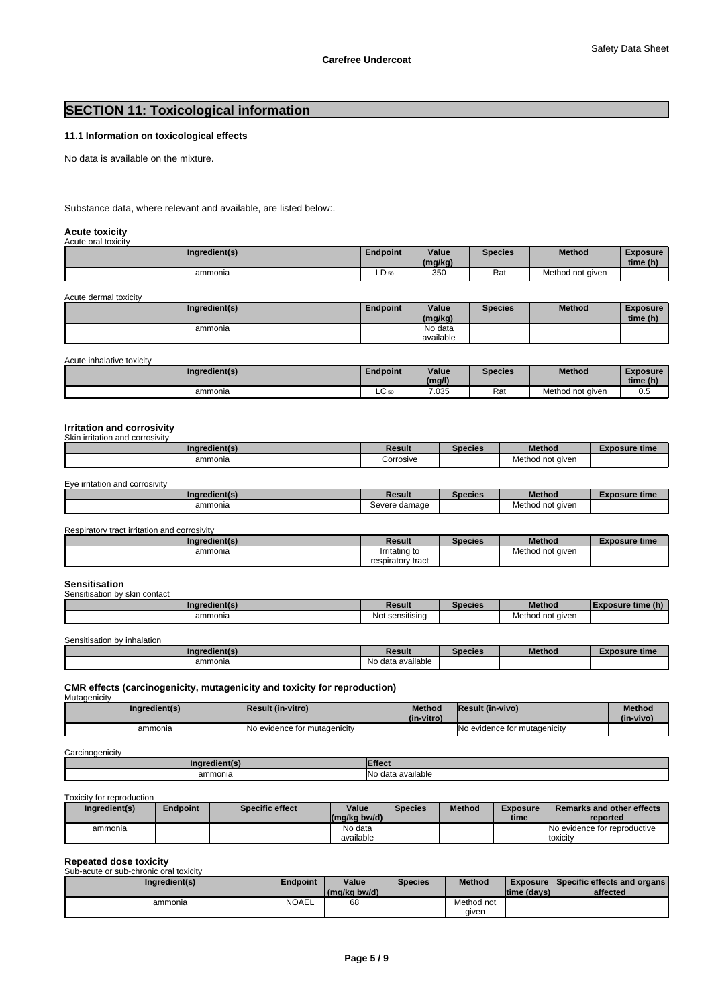# **SECTION 11: Toxicological information**

### **11.1 Information on toxicological effects**

No data is available on the mixture.

Substance data, where relevant and available, are listed below:.

#### **Acute toxicity** Acute oral toxicity

| Ingredient(s) | Endpoint   | Value<br>(mg/kg) | <b>Species</b> | <b>Method</b>    | <b>Exposure</b><br>time (h) |
|---------------|------------|------------------|----------------|------------------|-----------------------------|
| ammonia       | –<br>∟D 50 | 350              | Ra             | Method not given |                             |

Acute dermal toxicity

| Ingredient(s) | Endpoint | Value<br>(mg/kg)     | <b>Species</b> | Method | <b>Exposure</b><br>time (h) |
|---------------|----------|----------------------|----------------|--------|-----------------------------|
| ammonia       |          | No data<br>available |                |        |                             |

| Acute inhalative toxicity |                        |                 |                |                  |                             |  |  |  |  |  |
|---------------------------|------------------------|-----------------|----------------|------------------|-----------------------------|--|--|--|--|--|
| Ingredient(s)             | Endpoint               | Value<br>(mg/l) | <b>Species</b> | <b>Method</b>    | <b>Exposure</b><br>time (h) |  |  |  |  |  |
| ammonia                   | $\sim$<br>$-$<br>LV 50 | 7.035           | Rat            | Method not given | 0.5                         |  |  |  |  |  |

#### **Irritation and corrosivity** Skin irritation and corrosivity

| Ingredient(s) | Result    | Species | <b>Method</b>    | Exposure time |
|---------------|-----------|---------|------------------|---------------|
| ammonia       | Corrosive |         | Method not aiven |               |

| Eve irritation and corrosivity |               |         |                       |            |
|--------------------------------|---------------|---------|-----------------------|------------|
| Ingredient(s)                  | Result        | Species | <b>Method</b>         | osure time |
| ammonia                        | Severe damage |         | Method not<br>: aiven |            |

Respiratory tract irritation and corrosivity

| Ingredient(s) | Result            | <b>Species</b> | <b>Method</b>    | Exposure time |
|---------------|-------------------|----------------|------------------|---------------|
| ammonia       | Irritating to     |                | Method not aiven |               |
|               | respiratory tract |                |                  |               |

# **Sensitisation** Sensitisation by skin contact

| <b>UCHSHOUTHEV SNILL COLLECT</b> |                         |       |                  |               |
|----------------------------------|-------------------------|-------|------------------|---------------|
| anar<br>янь                      | Result                  | ecies | Method           | -time<br>чнь. |
| ammonia                          | .<br>Not<br>sensitising |       | not given<br>- - |               |

Sensitisation by inhalation

| uent(s*<br>.nar                                      | रesult                        | Species | <b>Method</b> | osure time |
|------------------------------------------------------|-------------------------------|---------|---------------|------------|
| ammonia<br>$\sim$ $\sim$ $\sim$ $\sim$ $\sim$ $\sim$ | ) data available<br>∖l∩<br>٦U |         |               |            |

**CMR effects (carcinogenicity, mutagenicity and toxicity for reproduction)**

| Mutagenicity |               | . . | . . | -- |                              |  |  |                             |                              |                            |
|--------------|---------------|-----|-----|----|------------------------------|--|--|-----------------------------|------------------------------|----------------------------|
|              | Ingredient(s) |     |     |    | <b>Result (in-vitro)</b>     |  |  | <b>Method</b><br>(in-vitro) | Result (in-vivo)             | <b>Method</b><br>(in-vivo) |
|              | ammonia       |     |     |    | No evidence for mutagenicity |  |  |                             | No evidence for mutagenicity |                            |

#### **Carcinogenicity**

| Inaredient( | .<br>tec:                       |
|-------------|---------------------------------|
| ammonia     | No.<br>data available<br>$An+n$ |

#### Toxicity for reproduction

| Ingredient(s) | Endpoint | <b>Specific effect</b> | Value<br>$(mg/kg$ bw/d) | Species | <b>Method</b> | <b>Exposure</b><br>time | <b>Remarks and other effects</b><br>reported |
|---------------|----------|------------------------|-------------------------|---------|---------------|-------------------------|----------------------------------------------|
| ammonia       |          |                        | No data                 |         |               |                         | No evidence for reproductive                 |
|               |          |                        | available               |         |               |                         | toxicity                                     |

**Repeated dose toxicity** Sub-acute or sub-chronic oral toxicity

| Ingredient(s) | Endpoint     | Value<br>(mg/kg bw/d) | <b>Species</b> | <b>Method</b>       | Itime (davs) | <b>Exposure Specific effects and organs L</b><br>affected |
|---------------|--------------|-----------------------|----------------|---------------------|--------------|-----------------------------------------------------------|
| ammonia       | <b>NOAEL</b> | 68                    |                | Method not<br>aiven |              |                                                           |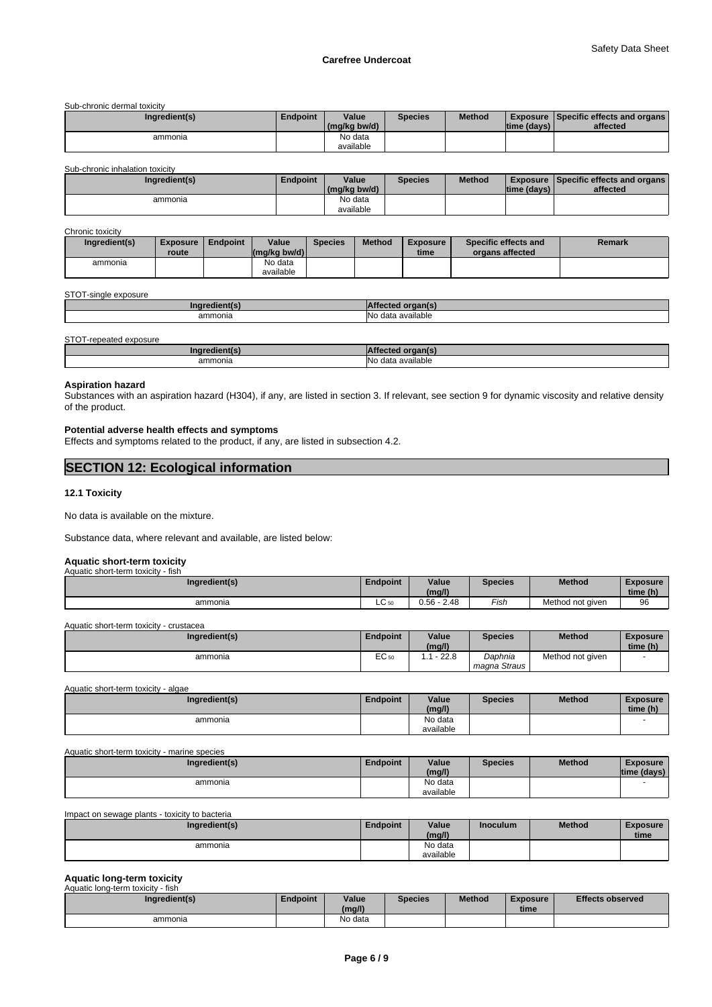#### Sub-chronic dermal toxicity

| Ingredient(s) | Endpoint | Value<br>(mg/kg bw/d) | Species | <b>Method</b> | $ time$ (days) | <b>Exposure Specific effects and organs</b><br>affected |
|---------------|----------|-----------------------|---------|---------------|----------------|---------------------------------------------------------|
| ammonia       |          | No data<br>available  |         |               |                |                                                         |

#### Sub-chronic inhalation toxicity

| Ingredient(s) | <b>Endpoint</b> | Value<br>(ma/ka bw/d) | <b>Species</b> | <b>Method</b> | ltime (davs) | <b>Exposure Specific effects and organs I</b><br>affected |
|---------------|-----------------|-----------------------|----------------|---------------|--------------|-----------------------------------------------------------|
| ammonia       |                 | No data<br>available  |                |               |              |                                                           |

#### Chronic toxicity

| Ingredient(s) | <b>Exposure</b><br>route | Endpoint | Value<br>$\left \frac{\text{mag}}{\text{kg}}\right $ bw/d) | <b>Species</b> | <b>Method</b> | <b>Exposure</b><br>time | Specific effects and<br>organs affected | Remark |
|---------------|--------------------------|----------|------------------------------------------------------------|----------------|---------------|-------------------------|-----------------------------------------|--------|
| ammonia       |                          |          | No data                                                    |                |               |                         |                                         |        |
|               |                          |          | available                                                  |                |               |                         |                                         |        |

#### STOT-single exposure

| . |
|---|
|   |

# STOT-repeated exposure

| ammonia | .<br>Allabas<br>. |
|---------|-------------------|
|         |                   |

#### **Aspiration hazard**

Substances with an aspiration hazard (H304), if any, are listed in section 3. If relevant, see section 9 for dynamic viscosity and relative density of the product.

#### **Potential adverse health effects and symptoms**

Effects and symptoms related to the product, if any, are listed in subsection 4.2.

# **SECTION 12: Ecological information**

#### **12.1 Toxicity**

No data is available on the mixture.

Substance data, where relevant and available, are listed below:

# **Aquatic short-term toxicity** Aquatic short-term toxicity - fish

| Ingredient(s) | <b>Endpoint</b> | Value<br>(mg/l) | Species    | Method           | Exposure<br>time (h) |
|---------------|-----------------|-----------------|------------|------------------|----------------------|
| ammonia       | ᄔᅛ              | 2.48<br>0.56 -  | --<br>Fish | Method not given | 96                   |

Aquatic short-term toxicity - crustacea

| Ingredient(s) | <b>Endpoint</b>  | Value<br>(mg/l) | <b>Species</b>          | Method           | <b>Exposure</b><br>time (h) |
|---------------|------------------|-----------------|-------------------------|------------------|-----------------------------|
| ammonia       | EC <sub>50</sub> | 22.8            | Daphnia<br>magna Straus | Method not given |                             |

Aquatic short-term toxicity - algae

| Ingredient(s) | Endpoint | Value<br>(mg/l) | <b>Species</b> | <b>Method</b> | <b>Exposure</b><br>time (h) |  |
|---------------|----------|-----------------|----------------|---------------|-----------------------------|--|
| ammonia       |          | No data         |                |               |                             |  |
|               |          | available       |                |               |                             |  |

| Aquatic short-term toxicity - marine species |                 |           |                |               |                 |  |  |  |  |
|----------------------------------------------|-----------------|-----------|----------------|---------------|-----------------|--|--|--|--|
| Ingredient(s)                                | <b>Endpoint</b> | Value     | <b>Species</b> | <b>Method</b> | <b>Exposure</b> |  |  |  |  |
|                                              |                 | (mg/l)    |                |               | time (davs)     |  |  |  |  |
| ammonia                                      |                 | No data   |                |               |                 |  |  |  |  |
|                                              |                 | available |                |               |                 |  |  |  |  |

Impact on sewage plants - toxicity to bacteria

| Ingredient(s) | Endpoint | Value     | <b>Inoculum</b> | <b>Method</b> | <b>Exposure</b> |
|---------------|----------|-----------|-----------------|---------------|-----------------|
|               |          | (mg/l)    |                 |               | time            |
| ammonia       |          | No data   |                 |               |                 |
|               |          | available |                 |               |                 |

#### **Aquatic long-term toxicity**

| Aquatic long-term toxicity - fish |          |        |                |               |                 |                         |  |  |
|-----------------------------------|----------|--------|----------------|---------------|-----------------|-------------------------|--|--|
| Ingredient(s)                     | Endpoint | Value  | <b>Species</b> | <b>Method</b> | <b>Exposure</b> | <b>Effects observed</b> |  |  |
|                                   |          | (mg/l) |                |               | time            |                         |  |  |
|                                   |          |        |                |               |                 |                         |  |  |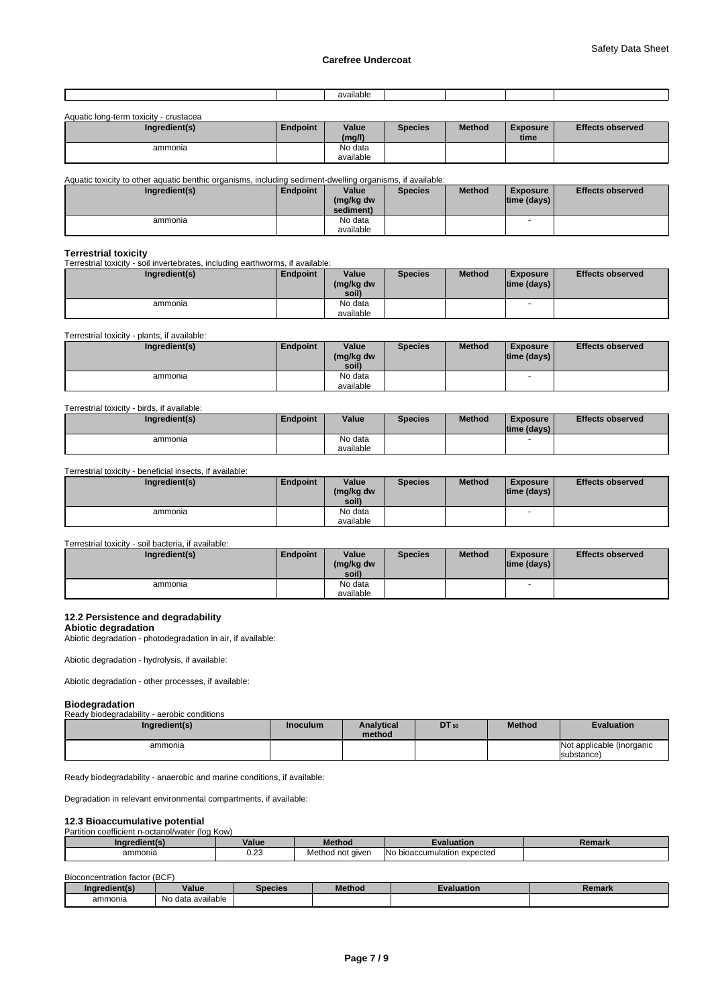| Aquatic long-term toxicity - crustacea |          |                      |                |               |                  |                         |
|----------------------------------------|----------|----------------------|----------------|---------------|------------------|-------------------------|
| Ingredient(s)                          | Endpoint | Value<br>(mg/l)      | <b>Species</b> | <b>Method</b> | Exposure<br>time | <b>Effects observed</b> |
| ammonia                                |          | No data<br>available |                |               |                  |                         |

Aquatic toxicity to other aquatic benthic organisms, including sediment-dwelling organisms, if available:

| Ingredient(s) | Endpoint | Value<br>(mg/kg dw<br>sediment) | <b>Species</b> | <b>Method</b> | <b>Exposure</b><br>time (days) $\vert$ | <b>Effects observed</b> |
|---------------|----------|---------------------------------|----------------|---------------|----------------------------------------|-------------------------|
| ammonia       |          | No data<br>available            |                |               |                                        |                         |

#### **Terrestrial toxicity**

Terrestrial toxicity - soil invertebrates, including earthworms, if available:

| Ingredient(s) | <b>Endpoint</b> | Value<br>(mg/kg dw<br>soil) | <b>Species</b> | <b>Method</b> | <b>Exposure</b><br>$ time$ (days) $ $ | <b>Effects observed</b> |
|---------------|-----------------|-----------------------------|----------------|---------------|---------------------------------------|-------------------------|
| ammonia       |                 | No data                     |                |               |                                       |                         |
|               |                 | available                   |                |               |                                       |                         |

#### Terrestrial toxicity - plants, if available:

| Ingredient(s) | Endpoint | Value<br>(mg/kg dw<br>soil) | <b>Species</b> | <b>Method</b> | <b>Exposure</b><br>$ time$ (days) $ $ | <b>Effects observed</b> |
|---------------|----------|-----------------------------|----------------|---------------|---------------------------------------|-------------------------|
| ammonia       |          | No data<br>available        |                |               | . .                                   |                         |

#### Terrestrial toxicity - birds, if available:

| .             |                 |           |                |               |                                   |                         |
|---------------|-----------------|-----------|----------------|---------------|-----------------------------------|-------------------------|
| Ingredient(s) | <b>Endpoint</b> | Value     | <b>Species</b> | <b>Method</b> | <b>Exposure</b><br>Itime (davs) I | <b>Effects observed</b> |
| ammonia       |                 | No data   |                |               |                                   |                         |
|               |                 | available |                |               |                                   |                         |

Terrestrial toxicity - beneficial insects, if available:

| Ingredient(s) | Endpoint | Value<br>(mg/kg dw<br>soil) | <b>Species</b> | <b>Method</b> | <b>Exposure</b><br>$ time$ (days) $ $ | <b>Effects observed</b> |
|---------------|----------|-----------------------------|----------------|---------------|---------------------------------------|-------------------------|
| ammonia       |          | No data                     |                |               | -                                     |                         |
|               |          | available                   |                |               |                                       |                         |

#### Terrestrial toxicity - soil bacteria, if available:

| Ingredient(s) | Endpoint | Value<br>(mg/kg dw<br>soil) | <b>Species</b> | <b>Method</b> | Exposure<br> time (days) | <b>Effects observed</b> |
|---------------|----------|-----------------------------|----------------|---------------|--------------------------|-------------------------|
| ammonia       |          | No data                     |                |               |                          |                         |
|               |          | available                   |                |               |                          |                         |

#### **12.2 Persistence and degradability**

**Abiotic degradation**

Abiotic degradation - photodegradation in air, if available:

Abiotic degradation - hydrolysis, if available:

Abiotic degradation - other processes, if available:

# **Biodegradation**

| Ready biodegradability - aerobic conditions |                 |                             |       |               |                                         |
|---------------------------------------------|-----------------|-----------------------------|-------|---------------|-----------------------------------------|
| Ingredient(s)                               | <b>Inoculum</b> | <b>Analytical</b><br>method | DT 50 | <b>Method</b> | <b>Evaluation</b>                       |
| ammonia                                     |                 |                             |       |               | Not applicable (inorganic<br>substance) |

Ready biodegradability - anaerobic and marine conditions, if available:

Degradation in relevant environmental compartments, if available:

#### **12.3 Bioaccumulative potential**

#### Partition coefficient n-octanol/water (log Kow)

| Ingredient(s) | Value                    | Method                                                     | valuation.                                   | тепагм |
|---------------|--------------------------|------------------------------------------------------------|----------------------------------------------|--------|
| ammonia       | $\sim$<br>∪.∠∪<br>$\sim$ | not given<br>Meth<br>าดต<br>י ווטו<br>- 1<br>$\sim$ $\sim$ | <b>IN</b> o<br>bioaccumulation expected<br>. |        |

Bioconcentration factor (BCF)

| <b>PRODUCTION IN AUTHENT IN THE TERM</b> |                   |         |        |            |        |  |  |  |
|------------------------------------------|-------------------|---------|--------|------------|--------|--|--|--|
| Ingredient(s)                            | Value             | Species | Method | Evaluation | Remark |  |  |  |
| ammonia                                  | No data available |         |        |            |        |  |  |  |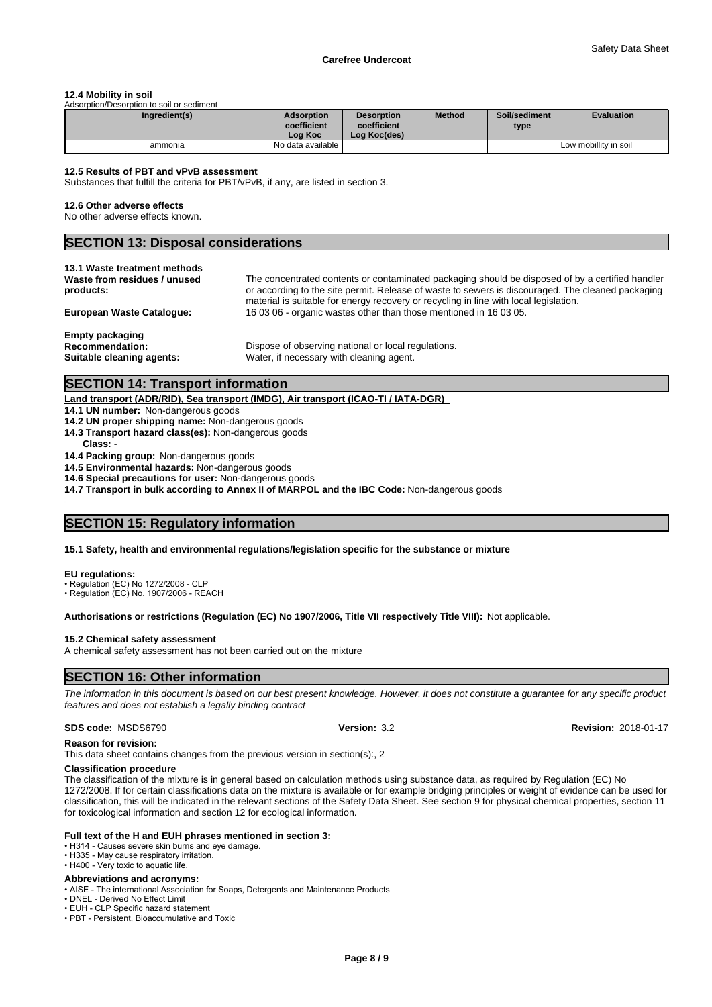#### **12.4 Mobility in soil**

| Adsorption/Desorption to soil or sediment |                                             |                                                  |               |                       |                       |
|-------------------------------------------|---------------------------------------------|--------------------------------------------------|---------------|-----------------------|-----------------------|
| Ingredient(s)                             | <b>Adsorption</b><br>coefficient<br>Log Koc | <b>Desorption</b><br>coefficient<br>Log Koc(des) | <b>Method</b> | Soil/sediment<br>type | <b>Evaluation</b>     |
| ammonia                                   | l No data available I                       |                                                  |               |                       | Low mobillity in soil |

#### **12.5 Results of PBT and vPvB assessment**

Substances that fulfill the criteria for PBT/vPvB, if any, are listed in section 3.

#### **12.6 Other adverse effects**

No other adverse effects known.

### **SECTION 13: Disposal considerations**

#### **13.1 Waste treatment methods**

| Waste from residues / unused<br>products: | The concentrated contents or contaminated packaging should be disposed of by a certified handler<br>or according to the site permit. Release of waste to sewers is discouraged. The cleaned packaging<br>material is suitable for energy recovery or recycling in line with local legislation. |
|-------------------------------------------|------------------------------------------------------------------------------------------------------------------------------------------------------------------------------------------------------------------------------------------------------------------------------------------------|
| European Waste Cataloque:                 | 16 03 06 - organic wastes other than those mentioned in 16 03 05.                                                                                                                                                                                                                              |
|                                           |                                                                                                                                                                                                                                                                                                |

**Empty packaging**

**Recommendation:** Dispose of observing national or local regulations.<br> **Suitable cleaning agents:** Water, if necessary with cleaning agent. Water, if necessary with cleaning agent.

### **SECTION 14: Transport information**

**Land transport (ADR/RID), Sea transport (IMDG), Air transport (ICAO-TI / IATA-DGR)** 

- **14.1 UN number:** Non-dangerous goods
- **14.2 UN proper shipping name:** Non-dangerous goods
- **14.3 Transport hazard class(es):** Non-dangerous goods
- **Class:** -
- **14.4 Packing group:** Non-dangerous goods
- **14.5 Environmental hazards:** Non-dangerous goods
- **14.6 Special precautions for user:** Non-dangerous goods
- **14.7 Transport in bulk according to Annex II of MARPOL and the IBC Code:** Non-dangerous goods

# **SECTION 15: Regulatory information**

**15.1 Safety, health and environmental regulations/legislation specific for the substance or mixture**

#### **EU regulations:**

Regulation (EC) No 1272/2008 - CLP • Regulation (EC) No. 1907/2006 - REACH

**Authorisations or restrictions (Regulation (EC) No 1907/2006, Title VII respectively Title VIII):** Not applicable.

#### **15.2 Chemical safety assessment**

A chemical safety assessment has not been carried out on the mixture

# **SECTION 16: Other information**

*The information in this document is based on our best present knowledge. However, it does not constitute a guarantee for any specific product features and does not establish a legally binding contract*

#### **SDS code:** MSDS6790 **Version:** 3.2 **Revision:** 2018-01-17

**Reason for revision:** This data sheet contains changes from the previous version in section(s):, 2

#### **Classification procedure**

The classification of the mixture is in general based on calculation methods using substance data, as required by Regulation (EC) No 1272/2008. If for certain classifications data on the mixture is available or for example bridging principles or weight of evidence can be used for classification, this will be indicated in the relevant sections of the Safety Data Sheet. See section 9 for physical chemical properties, section 11 for toxicological information and section 12 for ecological information.

#### **Full text of the H and EUH phrases mentioned in section 3:**

- H314 Causes severe skin burns and eye damage.
- H335 May cause respiratory irritation.
- H400 Very toxic to aquatic life.

# **Abbreviations and acronyms:**

• AISE - The international Association for Soaps, Detergents and Maintenance Products

- DNEL Derived No Effect Limit
- EUH CLP Specific hazard statement
- PBT Persistent, Bioaccumulative and Toxic